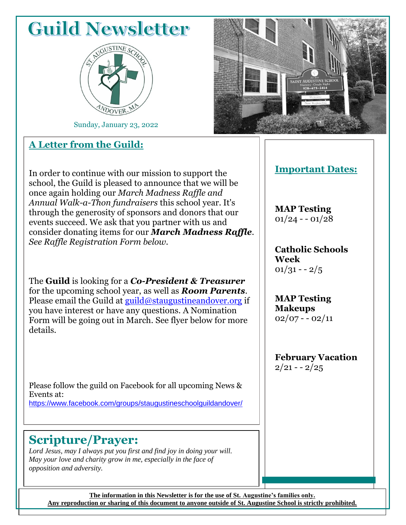## **Guild Newsletter**



Sunday, January 23, 2022

#### **A Letter from the Guild:**



#### In order to continue with our mission to support the school, the Guild is pleased to announce that we will be once again holding our *March Madness Raffle and Annual Walk-a-Thon fundraisers* this school year. It's through the generosity of sponsors and donors that our events succeed. We ask that you partner with us and consider donating items for our *March Madness Raffle*. *See Raffle Registration Form below.*

The **Guild** is looking for a *Co-President & Treasurer* for the upcoming school year, as well as *Room Parents*. Please email the Guild at  $\frac{guid(\omega)$ staugustineandover.org if you have interest or have any questions. A Nomination Form will be going out in March. See flyer below for more details.

Please follow the guild on Facebook for all upcoming News & Events at: [https://www.facebook.com/groups/staugustineschoolguildandover/](about:blank)

### **Scripture/Prayer:**

*Lord Jesus, may I always put you first and find joy in doing your will. May your love and charity grow in me, especially in the face of opposition and adversity.*

#### **Important Dates:**

**MAP Testing**  $01/24 - 01/28$ 

**Catholic Schools Week**  $01/31 - 2/5$ 

**MAP Testing Makeups**  $02/07 - 02/11$ 

**February Vacation**  $2/21 - 2/25$ 

**The information in this Newsletter is for the use of St. Augustine's families only. Any reproduction or sharing of this document to anyone outside of St. Augustine School is strictly prohibited.**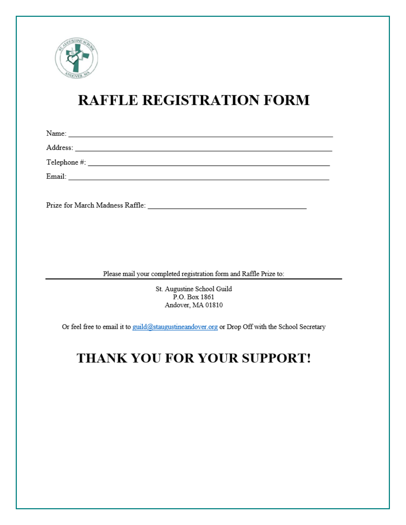

## **RAFFLE REGISTRATION FORM**

| Prize for March Madness Raffle: |  |
|---------------------------------|--|

Please mail your completed registration form and Raffle Prize to:

St. Augustine School Guild P.O. Box 1861 Andover, MA 01810

Or feel free to email it to guild@staugustineandover.org or Drop Off with the School Secretary

## THANK YOU FOR YOUR SUPPORT!